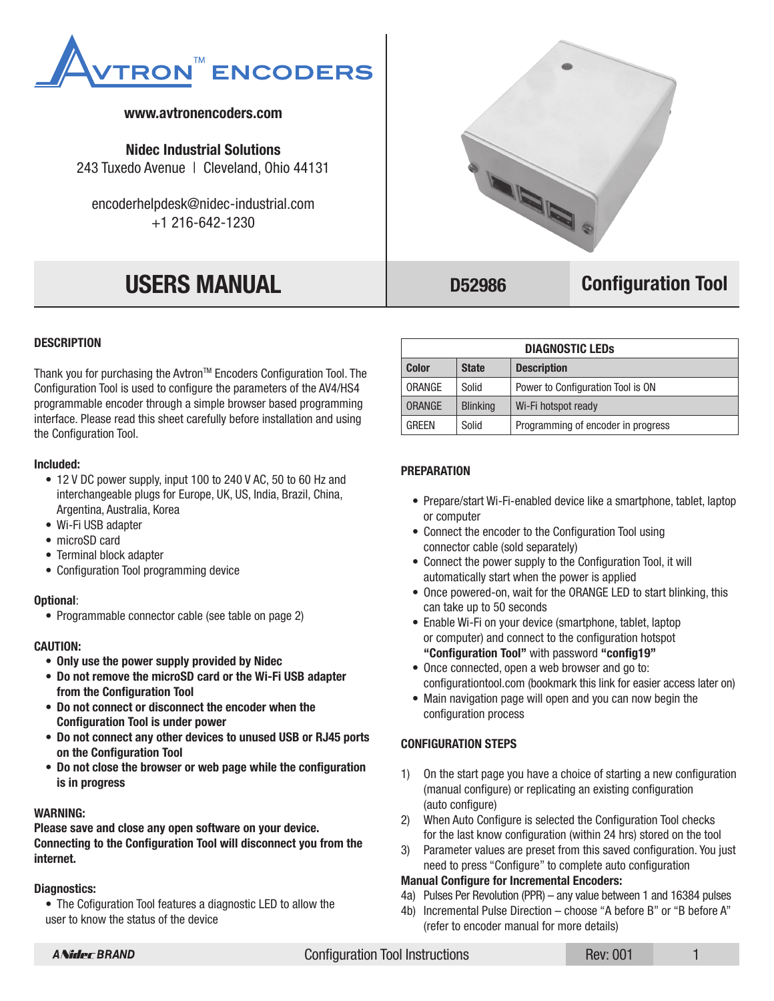

# **www.avtronencoders.com**

**Nidec Industrial Solutions** 243 Tuxedo Avenue | Cleveland, Ohio 44131

encoderhelpdesk@nidec-industrial.com +1 216-642-1230

# **USERS MANUAL**



# **D52986 Configuration Tool**

#### **DESCRIPTION**

Thank you for purchasing the Avtron™ Encoders Configuration Tool. The Configuration Tool is used to configure the parameters of the AV4/HS4 programmable encoder through a simple browser based programming interface. Please read this sheet carefully before installation and using the Configuration Tool.

#### **Included:**

- 12 V DC power supply, input 100 to 240 V AC, 50 to 60 Hz and interchangeable plugs for Europe, UK, US, India, Brazil, China, Argentina, Australia, Korea
- Wi-Fi USB adapter
- microSD card
- Terminal block adapter
- Configuration Tool programming device

#### **Optional**:

• Programmable connector cable (see table on page 2)

#### **CAUTION:**

- **Only use the power supply provided by Nidec**
- **Do not remove the microSD card or the Wi-Fi USB adapter from the Configuration Tool**
- **Do not connect or disconnect the encoder when the Configuration Tool is under power**
- **Do not connect any other devices to unused USB or RJ45 ports on the Configuration Tool**
- **Do not close the browser or web page while the configuration is in progress**

#### **WARNING:**

**Please save and close any open software on your device. Connecting to the Configuration Tool will disconnect you from the internet.**

#### **Diagnostics:**

• The Cofiguration Tool features a diagnostic LED to allow the user to know the status of the device

| <b>DIAGNOSTIC LEDS</b> |                 |                                    |  |  |  |
|------------------------|-----------------|------------------------------------|--|--|--|
| <b>Color</b>           | <b>State</b>    | <b>Description</b>                 |  |  |  |
| ORANGE                 | Solid           | Power to Configuration Tool is ON  |  |  |  |
| <b>ORANGE</b>          | <b>Blinking</b> | Wi-Fi hotspot ready                |  |  |  |
| <b>GRFFN</b>           | Solid           | Programming of encoder in progress |  |  |  |

#### **PREPARATION**

- Prepare/start Wi-Fi-enabled device like a smartphone, tablet, laptop or computer
- Connect the encoder to the Configuration Tool using connector cable (sold separately)
- Connect the power supply to the Configuration Tool, it will automatically start when the power is applied
- Once powered-on, wait for the ORANGE LED to start blinking, this can take up to 50 seconds
- Enable Wi-Fi on your device (smartphone, tablet, laptop or computer) and connect to the configuration hotspot **"Configuration Tool"** with password **"config19"**
- Once connected, open a web browser and go to: configurationtool.com (bookmark this link for easier access later on)
- Main navigation page will open and you can now begin the configuration process

#### **CONFIGURATION STEPS**

- 1) On the start page you have a choice of starting a new configuration (manual configure) or replicating an existing configuration (auto configure)
- 2) When Auto Configure is selected the Configuration Tool checks for the last know configuration (within 24 hrs) stored on the tool
- 3) Parameter values are preset from this saved configuration. You just need to press "Configure" to complete auto configuration

#### **Manual Configure for Incremental Encoders:**

- 4a) Pulses Per Revolution (PPR) any value between 1 and 16384 pulses
- 4b) Incremental Pulse Direction choose "A before B" or "B before A" (refer to encoder manual for more details)

Configuration Tool Instructions

Rev: 001

1